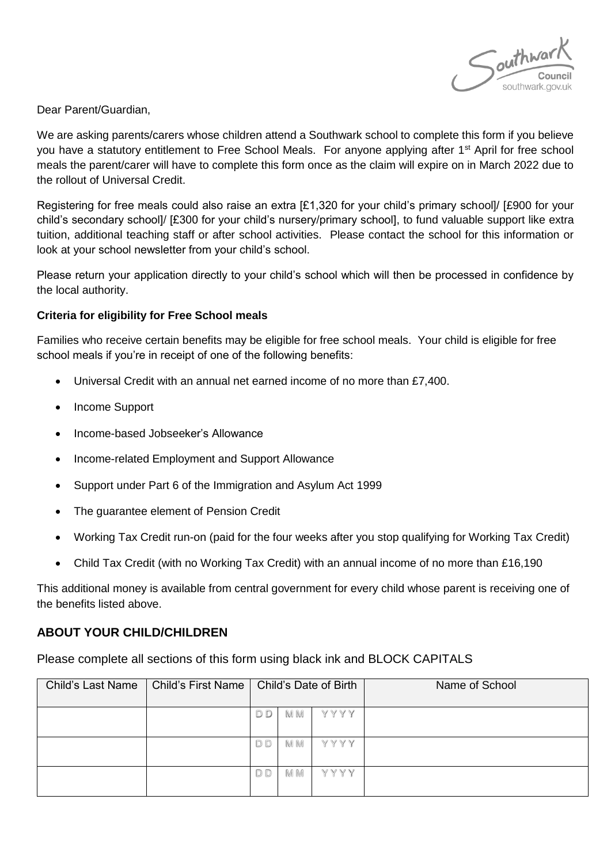

Dear Parent/Guardian,

We are asking parents/carers whose children attend a Southwark school to complete this form if you believe you have a statutory entitlement to Free School Meals. For anyone applying after 1<sup>st</sup> April for free school meals the parent/carer will have to complete this form once as the claim will expire on in March 2022 due to the rollout of Universal Credit.

Registering for free meals could also raise an extra [£1,320 for your child's primary school]/ [£900 for your child's secondary school]/ [£300 for your child's nursery/primary school], to fund valuable support like extra tuition, additional teaching staff or after school activities. Please contact the school for this information or look at your school newsletter from your child's school.

Please return your application directly to your child's school which will then be processed in confidence by the local authority.

#### **Criteria for eligibility for Free School meals**

Families who receive certain benefits may be eligible for free school meals. Your child is eligible for free school meals if you're in receipt of one of the following benefits:

- Universal Credit with an annual net earned income of no more than £7,400.
- Income Support
- Income-based Jobseeker's Allowance
- Income-related Employment and Support Allowance
- Support under Part 6 of the Immigration and Asylum Act 1999
- The guarantee element of Pension Credit
- Working Tax Credit run-on (paid for the four weeks after you stop qualifying for Working Tax Credit)
- Child Tax Credit (with no Working Tax Credit) with an annual income of no more than £16,190

This additional money is available from central government for every child whose parent is receiving one of the benefits listed above.

## **ABOUT YOUR CHILD/CHILDREN**

Please complete all sections of this form using black ink and BLOCK CAPITALS

| <b>Child's Last Name</b> | Child's First Name | Child's Date of Birth |           |      | Name of School |
|--------------------------|--------------------|-----------------------|-----------|------|----------------|
|                          |                    | D D                   | M M       | YYYY |                |
|                          |                    | D <sub>D</sub>        | <b>MM</b> | YYYY |                |
|                          |                    | D D                   | M M       | YYYY |                |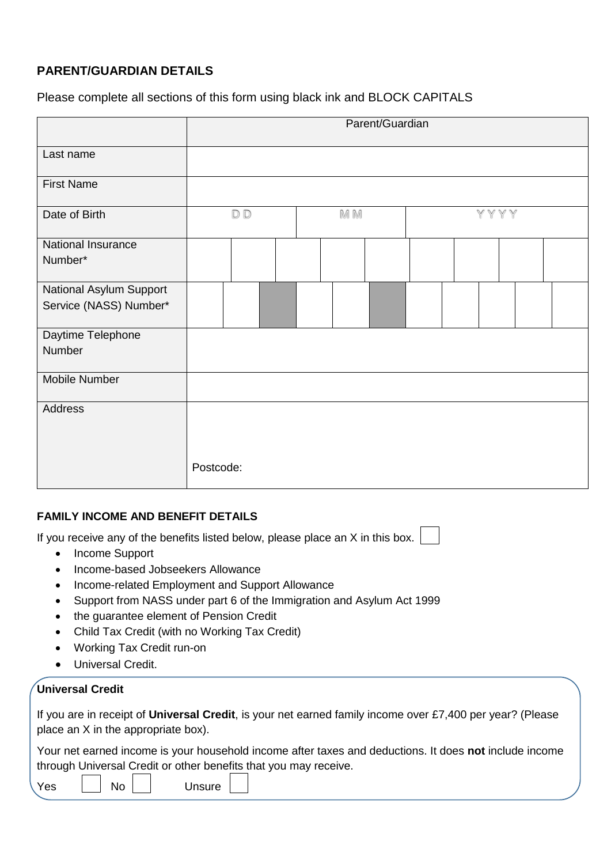# **PARENT/GUARDIAN DETAILS**

## Please complete all sections of this form using black ink and BLOCK CAPITALS

|                                                   | Parent/Guardian |  |     |  |      |  |  |
|---------------------------------------------------|-----------------|--|-----|--|------|--|--|
| Last name                                         |                 |  |     |  |      |  |  |
| <b>First Name</b>                                 |                 |  |     |  |      |  |  |
| Date of Birth                                     | D D             |  | M M |  | YYYY |  |  |
| National Insurance<br>Number*                     |                 |  |     |  |      |  |  |
| National Asylum Support<br>Service (NASS) Number* |                 |  |     |  |      |  |  |
| Daytime Telephone<br>Number                       |                 |  |     |  |      |  |  |
| Mobile Number                                     |                 |  |     |  |      |  |  |
| Address                                           | Postcode:       |  |     |  |      |  |  |

## **FAMILY INCOME AND BENEFIT DETAILS**

If you receive any of the benefits listed below, please place an X in this box.

- Income Support
- Income-based Jobseekers Allowance
- Income-related Employment and Support Allowance
- Support from NASS under part 6 of the Immigration and Asylum Act 1999
- the quarantee element of Pension Credit
- Child Tax Credit (with no Working Tax Credit)
- Working Tax Credit run-on
- Universal Credit.

## **Universal Credit**

If you are in receipt of **Universal Credit**, is your net earned family income over £7,400 per year? (Please place an X in the appropriate box).

Your net earned income is your household income after taxes and deductions. It does **not** include income through Universal Credit or other benefits that you may receive.

|  | Yes | No | Unsure |
|--|-----|----|--------|
|--|-----|----|--------|